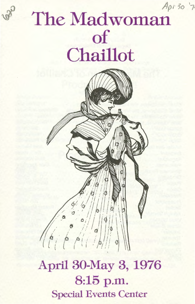### *Apr 5o* <sup>1</sup> 7

# The Madwoman of **Chaillot**



April 30-May 3, 1976 8:15 p.m. Special Events Center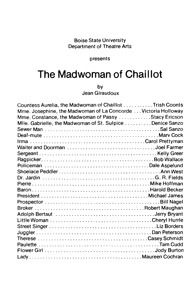#### Boise State University Department of Theatre Arts

presents

### **The Madwoman of Chaillot**

by

Jean Giraudoux

| Countess Aurelia, the Madwoman of Chaillot Trish Coonts                                                    |  |
|------------------------------------------------------------------------------------------------------------|--|
| Mme. Josephine, the Madwoman of La Concorde Victoria Holloway                                              |  |
| Mme. Constance, the Madwoman of Passy Stacy Ericson                                                        |  |
| Mile. Gabrielle, the Madwoman of St. Sulpice Denice Sanzo                                                  |  |
|                                                                                                            |  |
|                                                                                                            |  |
|                                                                                                            |  |
|                                                                                                            |  |
|                                                                                                            |  |
|                                                                                                            |  |
| Policeman Dale Aspelund                                                                                    |  |
|                                                                                                            |  |
|                                                                                                            |  |
|                                                                                                            |  |
|                                                                                                            |  |
|                                                                                                            |  |
|                                                                                                            |  |
|                                                                                                            |  |
| Adolph Bertaut (all contains and contain and all contains and all contains and all contains a lerry Bryant |  |
|                                                                                                            |  |
|                                                                                                            |  |
|                                                                                                            |  |
|                                                                                                            |  |
|                                                                                                            |  |
|                                                                                                            |  |
|                                                                                                            |  |
|                                                                                                            |  |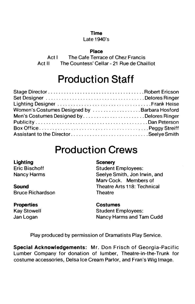#### **Time**

#### Late 1940's

#### **Place**

Act I The Cafe Terrace of Chez Francis Act II The Countess' Cellar - 21 Rue de Chaillot

### **Production Staff**

| Women's Costumes Designed by Barbara Hosford |  |
|----------------------------------------------|--|
| Men's Costumes Designed byDelores Ringer     |  |
|                                              |  |
|                                              |  |
|                                              |  |

### **Production Crews**

#### **Lighting**  Eric Bischoff Nancy Harms

**Sound**  Bruce Richardson

### **Properties**

Kay Stowell Jan Logan

### **Scenery**

Student Employees: Seelye Smith, Jon Irwin, and Marv Cock. Members of Theatre Arts 118: Technical **Theatre** 

### **Costumes**

Student Employees: Nancy Harms and Tam Cudd

Play produced by permission of Dramatists Play Service.

**Special Acknowledgements:** Mr. Don Frisch of Georgia-Pacific Lumber Company for donation of lumber, Theatre-in-the-Trunk for costume accessories, Delsa Ice Cream Parlor, and Fran's Wig Image.